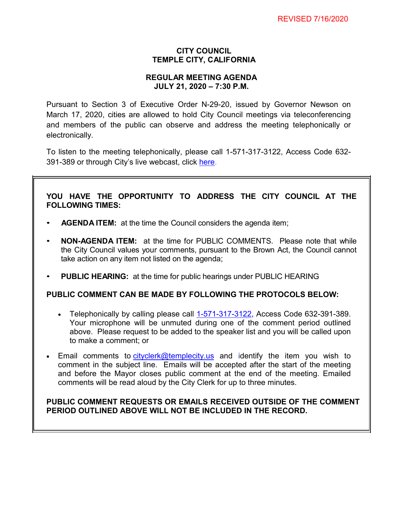## **CITY COUNCIL TEMPLE CITY, CALIFORNIA**

## **REGULAR MEETING AGENDA JULY 21, 2020 – 7:30 P.M.**

Pursuant to Section 3 of Executive Order N-29-20, issued by Governor Newson on March 17, 2020, cities are allowed to hold City Council meetings via teleconferencing and members of the public can observe and address the meeting telephonically or electronically.

To listen to the meeting telephonically, please call [1-571-317-3122,](tel:+16467493112,,558626973) Access Code 632 391-389 or through City's live webcast, click [here.](https://www.ci.temple-city.ca.us/516/Meeting-Webcast)

# **YOU HAVE THE OPPORTUNITY TO ADDRESS THE CITY COUNCIL AT THE FOLLOWING TIMES:**

- **AGENDA ITEM:** at the time the Council considers the agenda item;
- **NON-AGENDA ITEM:** at the time for PUBLIC COMMENTS. Please note that while the City Council values your comments, pursuant to the Brown Act, the Council cannot take action on any item not listed on the agenda;
- **PUBLIC HEARING:** at the time for public hearings under PUBLIC HEARING

### **PUBLIC COMMENT CAN BE MADE BY FOLLOWING THE PROTOCOLS BELOW:**

- Telephonically by calling please call  $1-571-317-3122$ , Access Code 632-391-389. Your microphone will be unmuted during one of the comment period outlined above. Please request to be added to the speaker list and you will be called upon to make a comment; or
- Email comments to [cityclerk@templecity.us](mailto:cityclerk@templecity.us) and identify the item you wish to comment in the subject line. Emails will be accepted after the start of the meeting and before the Mayor closes public comment at the end of the meeting. Emailed comments will be read aloud by the City Clerk for up to three minutes.

# **PUBLIC COMMENT REQUESTS OR EMAILS RECEIVED OUTSIDE OF THE COMMENT PERIOD OUTLINED ABOVE WILL NOT BE INCLUDED IN THE RECORD.**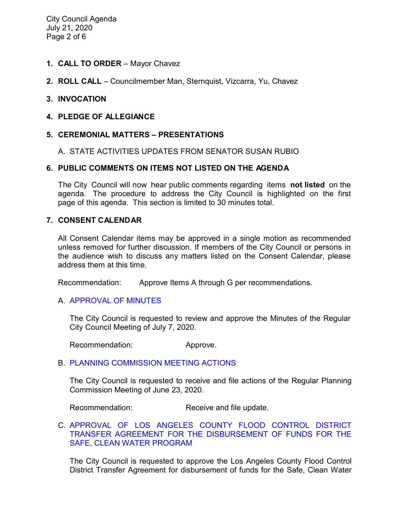- **1. CALL TO ORDER**  Mayor Chavez
- **2. ROLL CALL**  Councilmember Man, Sternquist, Vizcarra, Yu, Chavez

### **3. INVOCATION**

### **4. PLEDGE OF ALLEGIANCE**

### **5. CEREMONIAL MATTERS – PRESENTATIONS**

#### A. STATE ACTIVITIES UPDATES FROM SENATOR SUSAN RUBIO

### **6. PUBLIC COMMENTS ON ITEMS NOT LISTED ON THE AGENDA**

The City Council will now hear public comments regarding items **not listed** on the agenda. The procedure to address the City Council is highlighted on the first page of this agenda. This section is limited to 30 minutes total.

#### **7. CONSENT CALENDAR**

All Consent Calendar items may be approved in a single motion as recommended unless removed for further discussion. If members of the City Council or persons in the audience wish to discuss any matters listed on the Consent Calendar, please address them at this time.

Recommendation: Approve Items A through G per recommendations.

#### A. [APPROVAL](https://ca-templecity.civicplus.com/DocumentCenter/View/14784/02-7A--CCM---2020-07-07) OF MINUTES

The City Council is requested to review and approve the Minutes of the Regular City Council Meeting of July 7, 2020.

Recommendation: Approve.

#### B. [PLANNING COMMISSION MEETING ACTIONS](https://ca-templecity.civicplus.com/DocumentCenter/View/14785/03-7B--PC-Actions---from-2020-6-23)

The City Council is requested to receive and file actions of the Regular Planning Commission Meeting of June 23, 2020.

Recommendation: Receive and file update.

#### C. [APPROVAL OF LOS ANGELES COUNTY FLOOD CONTROL DISTRICT](https://ca-templecity.civicplus.com/DocumentCenter/View/14786/04-7C--Safe-Clean-Water-Program_Staff-Report_W-ATTACHMENT)  [TRANSFER AGREEMENT FOR THE DISBURSEMENT OF FUNDS FOR THE](https://ca-templecity.civicplus.com/DocumentCenter/View/14786/04-7C--Safe-Clean-Water-Program_Staff-Report_W-ATTACHMENT)  [SAFE, CLEAN WATER PROGRAM](https://ca-templecity.civicplus.com/DocumentCenter/View/14786/04-7C--Safe-Clean-Water-Program_Staff-Report_W-ATTACHMENT)

The City Council is requested to approve the Los Angeles County Flood Control District Transfer Agreement for disbursement of funds for the Safe, Clean Water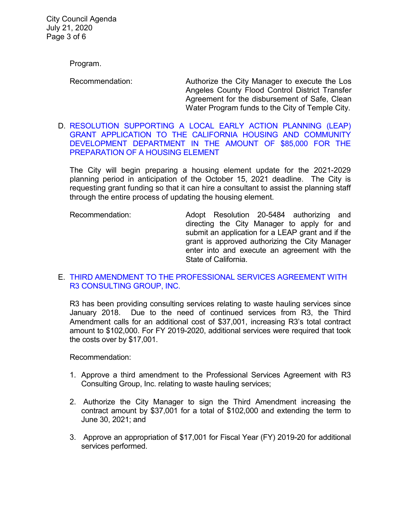City Council Agenda July 21, 2020 Page 3 of 6

Program.

Recommendation: Authorize the City Manager to execute the Los Angeles County Flood Control District Transfer Agreement for the disbursement of Safe, Clean Water Program funds to the City of Temple City.

D. [RESOLUTION SUPPORTING A LOCAL EARLY ACTION PLANNING \(LEAP\)](https://ca-templecity.civicplus.com/DocumentCenter/View/14787/05-7D--LEAP-Grant-Application_Staff-Report_W-ATTACHMENT)  [GRANT APPLICATION TO THE CALIFORNIA HOUSING AND COMMUNITY](https://ca-templecity.civicplus.com/DocumentCenter/View/14787/05-7D--LEAP-Grant-Application_Staff-Report_W-ATTACHMENT)  [DEVELOPMENT DEPARTMENT IN THE AMOUNT OF \\$85,000 FOR THE](https://ca-templecity.civicplus.com/DocumentCenter/View/14787/05-7D--LEAP-Grant-Application_Staff-Report_W-ATTACHMENT)  [PREPARATION OF A HOUSING ELEMENT](https://ca-templecity.civicplus.com/DocumentCenter/View/14787/05-7D--LEAP-Grant-Application_Staff-Report_W-ATTACHMENT)

The City will begin preparing a housing element update for the 2021-2029 planning period in anticipation of the October 15, 2021 deadline. The City is requesting grant funding so that it can hire a consultant to assist the planning staff through the entire process of updating the housing element.

Recommendation: Adopt Resolution 20-5484 authorizing and directing the City Manager to apply for and submit an application for a LEAP grant and if the grant is approved authorizing the City Manager enter into and execute an agreement with the State of California.

# E. [THIRD AMENDMENT TO THE PROFESSIONAL SERVICES AGREEMENT WITH](https://ca-templecity.civicplus.com/DocumentCenter/View/14788/06-7E--R3-Consulting_Third-Amendment-to-Agreement-for-Services_Staff-Report_W-ATTACHMENTS)  [R3 CONSULTING GROUP, INC.](https://ca-templecity.civicplus.com/DocumentCenter/View/14788/06-7E--R3-Consulting_Third-Amendment-to-Agreement-for-Services_Staff-Report_W-ATTACHMENTS)

R3 has been providing consulting services relating to waste hauling services since January 2018. Due to the need of continued services from R3, the Third Amendment calls for an additional cost of \$37,001, increasing R3's total contract amount to \$102,000. For FY 2019-2020, additional services were required that took the costs over by \$17,001.

Recommendation:

- 1. Approve a third amendment to the Professional Services Agreement with R3 Consulting Group, Inc. relating to waste hauling services;
- 2. Authorize the City Manager to sign the Third Amendment increasing the contract amount by \$37,001 for a total of \$102,000 and extending the term to June 30, 2021; and
- 3. Approve an appropriation of \$17,001 for Fiscal Year (FY) 2019-20 for additional services performed.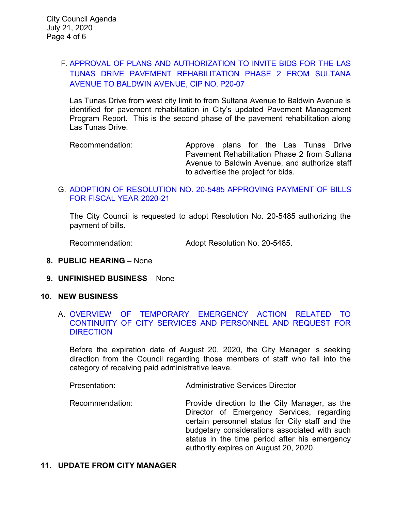# F. APPROVAL OF PLANS AND [AUTHORIZATION TO INVITE BIDS FOR THE LAS](https://ca-templecity.civicplus.com/DocumentCenter/View/14796/07-7F--Staff-Report_LAS-TUNAS-REHAB-PHASE-2-SULTANA-TO-BALDWIN-7-21-2020_W-ATTACHMENTS)  [TUNAS DRIVE PAVEMENT REHABILITATION](https://ca-templecity.civicplus.com/DocumentCenter/View/14796/07-7F--Staff-Report_LAS-TUNAS-REHAB-PHASE-2-SULTANA-TO-BALDWIN-7-21-2020_W-ATTACHMENTS) PHASE 2 FROM SULTANA [AVENUE TO BALDWIN AVENUE,](https://ca-templecity.civicplus.com/DocumentCenter/View/14796/07-7F--Staff-Report_LAS-TUNAS-REHAB-PHASE-2-SULTANA-TO-BALDWIN-7-21-2020_W-ATTACHMENTS) CIP NO. P20-07

Las Tunas Drive from west city limit to from Sultana Avenue to Baldwin Avenue is identified for pavement rehabilitation in City's updated Pavement Management Program Report. This is the second phase of the pavement rehabilitation along Las Tunas Drive.

Recommendation: Approve plans for the Las Tunas Drive Pavement Rehabilitation Phase 2 from Sultana Avenue to Baldwin Avenue, and authorize staff to advertise the project for bids.

### G. [ADOPTION OF RESOLUTION NO. 20-5485](https://ca-templecity.civicplus.com/DocumentCenter/View/14790/08-7G---CC-Warrant) APPROVING PAYMENT OF BILLS [FOR FISCAL YEAR 2020-21](https://ca-templecity.civicplus.com/DocumentCenter/View/14790/08-7G---CC-Warrant)

The City Council is requested to adopt Resolution No. 20-5485 authorizing the payment of bills.

Recommendation: Adopt Resolution No. 20-5485.

- **8. PUBLIC HEARING**  None
- **9. UNFINISHED BUSINESS** None
- **10. NEW BUSINESS**

### A. [OVERVIEW OF TEMPORARY EMERGENCY ACTION RELATED TO](https://ca-templecity.civicplus.com/DocumentCenter/View/14795/09-10A--Staff-Report-COVID-21-July-29-2020_FINAL)  [CONTINUITY OF CITY SERVICES AND PERSONNEL AND REQUEST FOR](https://ca-templecity.civicplus.com/DocumentCenter/View/14795/09-10A--Staff-Report-COVID-21-July-29-2020_FINAL)  **[DIRECTION](https://ca-templecity.civicplus.com/DocumentCenter/View/14795/09-10A--Staff-Report-COVID-21-July-29-2020_FINAL)**

Before the expiration date of August 20, 2020, the City Manager is seeking direction from the Council regarding those members of staff who fall into the category of receiving paid administrative leave.

Presentation: Administrative Services Director

Recommendation: Provide direction to the City Manager, as the Director of Emergency Services, regarding certain personnel status for City staff and the budgetary considerations associated with such status in the time period after his emergency authority expires on August 20, 2020.

### **11. UPDATE FROM CITY MANAGER**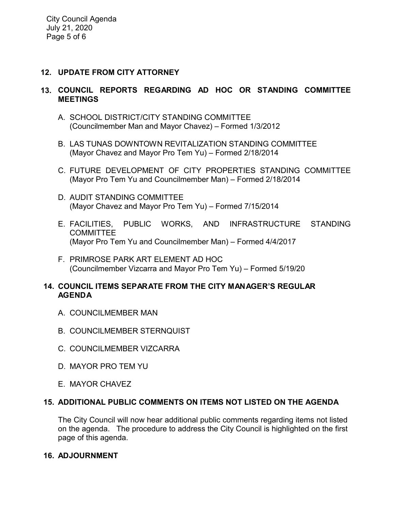# **12. UPDATE FROM CITY ATTORNEY**

# **13. COUNCIL REPORTS REGARDING AD HOC OR STANDING COMMITTEE MEETINGS**

- A. SCHOOL DISTRICT/CITY STANDING COMMITTEE (Councilmember Man and Mayor Chavez) – Formed 1/3/2012
- B. LAS TUNAS DOWNTOWN REVITALIZATION STANDING COMMITTEE (Mayor Chavez and Mayor Pro Tem Yu) – Formed 2/18/2014
- C. FUTURE DEVELOPMENT OF CITY PROPERTIES STANDING COMMITTEE (Mayor Pro Tem Yu and Councilmember Man) – Formed 2/18/2014
- D. AUDIT STANDING COMMITTEE (Mayor Chavez and Mayor Pro Tem Yu) – Formed 7/15/2014
- E. FACILITIES, PUBLIC WORKS, AND INFRASTRUCTURE STANDING **COMMITTEE** (Mayor Pro Tem Yu and Councilmember Man) – Formed 4/4/2017
- F. PRIMROSE PARK ART ELEMENT AD HOC (Councilmember Vizcarra and Mayor Pro Tem Yu) – Formed 5/19/20

# **14. COUNCIL ITEMS SEPARATE FROM THE CITY MANAGER'S REGULAR AGENDA**

- A. COUNCILMEMBER MAN
- B. COUNCILMEMBER STERNQUIST
- C. COUNCILMEMBER VIZCARRA
- D. MAYOR PRO TEM YU
- E. MAYOR CHAVEZ

# **15. ADDITIONAL PUBLIC COMMENTS ON ITEMS NOT LISTED ON THE AGENDA**

The City Council will now hear additional public comments regarding items not listed on the agenda. The procedure to address the City Council is highlighted on the first page of this agenda.

# **16. ADJOURNMENT**